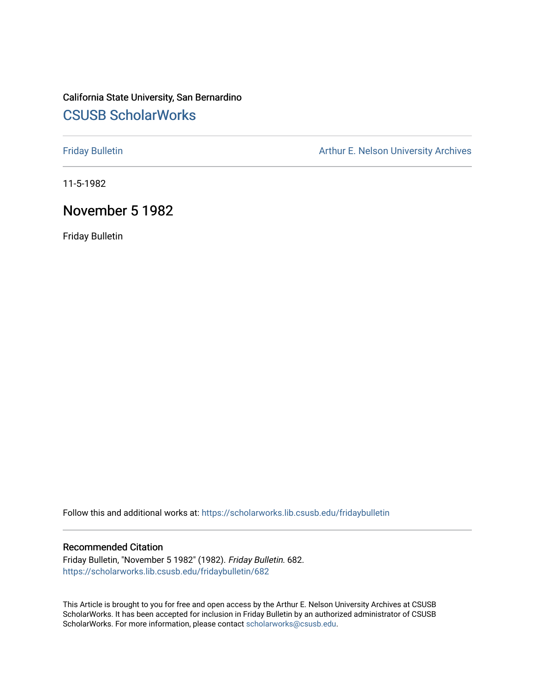# California State University, San Bernardino [CSUSB ScholarWorks](https://scholarworks.lib.csusb.edu/)

[Friday Bulletin](https://scholarworks.lib.csusb.edu/fridaybulletin) **Arthur E. Nelson University Archives** Arthur E. Nelson University Archives

11-5-1982

# November 5 1982

Friday Bulletin

Follow this and additional works at: [https://scholarworks.lib.csusb.edu/fridaybulletin](https://scholarworks.lib.csusb.edu/fridaybulletin?utm_source=scholarworks.lib.csusb.edu%2Ffridaybulletin%2F682&utm_medium=PDF&utm_campaign=PDFCoverPages)

### Recommended Citation

Friday Bulletin, "November 5 1982" (1982). Friday Bulletin. 682. [https://scholarworks.lib.csusb.edu/fridaybulletin/682](https://scholarworks.lib.csusb.edu/fridaybulletin/682?utm_source=scholarworks.lib.csusb.edu%2Ffridaybulletin%2F682&utm_medium=PDF&utm_campaign=PDFCoverPages)

This Article is brought to you for free and open access by the Arthur E. Nelson University Archives at CSUSB ScholarWorks. It has been accepted for inclusion in Friday Bulletin by an authorized administrator of CSUSB ScholarWorks. For more information, please contact [scholarworks@csusb.edu.](mailto:scholarworks@csusb.edu)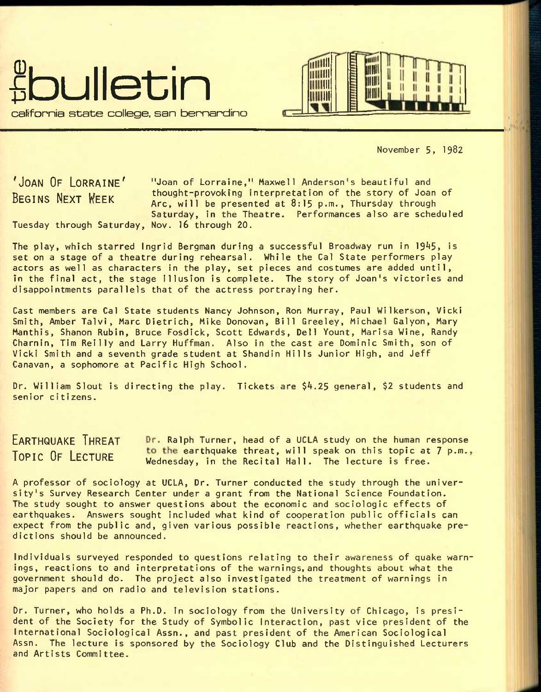



November 5, 1982

'JOAN OF LORRAINE' "Joan of Lorraine," Maxwell Anderson's beautiful and

BEGINS NEXT WEEK thought-provoking interpretation of the story of Joan of Arc, will be presented at  $8:15$  p.m., Thursday through Saturday, in the Theatre. Performances also are scheduled Tuesday through Saturday, Nov. 16 through 20.

The play, which starred Ingrid Bergman during a successful Broadway run in 1945, is set on a stage of a theatre during rehearsal. While the Cal State performers play actors as well as characters in the play, set pieces and costumes are added until, in the final act, the stage Illusion is complete. The story of Joan's victories and disappointments parallels that of the actress portraying her.

Cast members are Cal State students Nancy Johnson, Ron Murray, Paul Wilkerson, Vicki Smith, Amber Talvi, Marc Dietrich, Mike Donovan, Bill Greeley, Michael Galyon, Mary Manthis, Shanon Rubin, Bruce Fosdick, Scott Edwards, Dell Yount, Marisa Wine, Randy Charnin, Tim Reilly and Larry Huffman. Also in the cast are Dominic Smith, son of Vicki Smith and a seventh grade student at Shandin Hills Junior High, and Jeff Canavan, a sophomore at Pacific High School.

Dr. William Slout is directing the play. Tickets are \$4.25 general, \$2 students and senior citizens.

EARTHQUAKE THREAT Dr. Ralph Turner, head of a UCLA study on the human response TOPIC OF LECTURE to the earthquake threat, will speak on this topic at 7 p.m., Wednesday, in the Recital Hall. The lecture is free.

A professor of sociology at UCLA, Dr. Turner conducted the study through the university's Survey Research Center under a grant from the National Science Foundation. The study sought to answer questions about the economic and sociologic effects of earthquakes. Answers sought included what kind of cooperation public officials can expect from the public and, given various possible reactions, whether earthquake predictions should be announced.

Individuals surveyed responded to questions relating to their awareness of quake warnings, reactions to and interpretations of the warnings, and thoughts about what the government should do. The project also investigated the treatment of warnings in major papers and on radio and television stations.

Dr. Turner, who holds a Ph.D. in sociology from the University of Chicago, is president of the Society for the Study of Symbolic Interaction, past vice president of the International Sociological Assn., and past president of the American Sociological Assn. The lecture is sponsored by the Sociology Club and the Distinguished Lecturers and Artists Committee.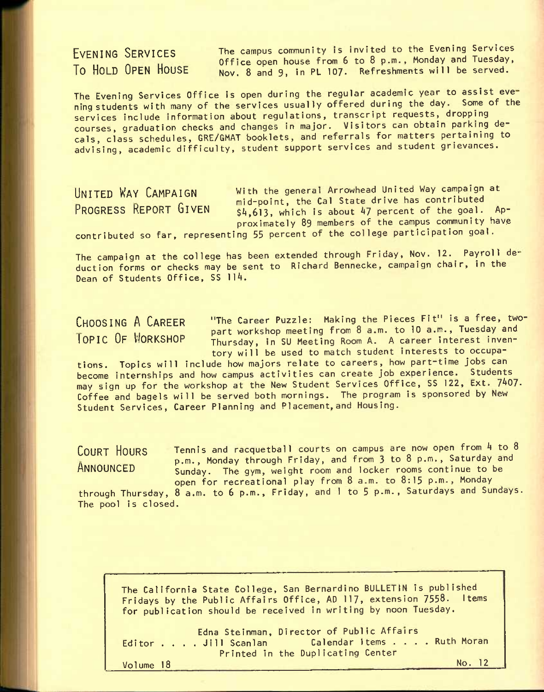EVENING SERVICES To HOLD OPEN HOUSE The campus community is Invited to the Evening Services Office open house from 6 to 8 p.m., Monday and Tuesday, Nov. 8 and 9, in PL 107. Refreshments will be served.

The Evening Services Office is open during the regular academic year to assist eve ning students with many of the services usually offered during the day. Some of the services include information about regulations, transcript requests, dropping courses, graduation checks and changes in major. Visitors can obtain parking decals, class schedules, GRE/GMAT booklets, and referrals for matters pertaining to advising, academic difficulty, student support services and student grievances.

UNITED WAY CAMPAIGN with the general Arrowhead United Way campaign at put the mid-point, the Cal State drive has contributed<br>PROGRESS REPORT GIVEN the G13 which is about 47 percent of the goal.  $$4,613$ , which is about 47 percent of the goal. Approximately 89 members of the campus community have

contributed so far, representing 55 percent of the college participation goal.

The campaign at the college has been extended through Friday, Nov. 12. Payroll deduction forms or checks may be sent to Richard Bennecke, campaign chair, in the Dean of Students Office, SS 114.

CHOOSING A CAREER "The career Puzzle: Making the Pieces Fit" is a free, two-A in the contract of the part workshop meeting from 8 a.m. to 10 a.m., Tuesday and<br>TOPIC OF WORKSHOP Thursday, in SIL Meeting Room A. A career interest inven-Thursday, in SU Meeting Room A. A career interest inventory will be used to match student interests to occupa-

tions. Topics will include how majors relate to careers, how part-time jobs can become internships and how campus activities can create job experience. Students may sign up for the workshop at the New Student Services Office, SS 122, Ext. 7407. Coffee and bagels will be served both mornings. The program is sponsored by New Student Services, Career Planning and Placement,and Housing.

COURT HOURS Tennis and racquetball courts on campus are now open from 4 to 8 p.m., Monday through Friday, and from 3 to 8 p.m., Saturday and ANNOUNCED Sunday. The gym, weight room and locker rooms continue to be open for recreational play from 8 a.m. to 8:15 p.m., Monday

through Thursday, 8 a.m. to 6 p.m., Friday, and 1 to 5 p.m., Saturdays and Sundays. The pool is closed.

The California State College, San Bernardino BULLETIN is published Fridays by the Public Affairs Office, AD 117, extension 7558. Items for publication should be received in writing by noon Tuesday.

Edna Steinman, Director of Public Affairs Editor . . . .Jill Scanlan Calendar items .... Ruth Moran Editor . . . . Jill Scanlan [ Calendar Items .<br>Printed in the Duplicating Center Volume 18 No. 12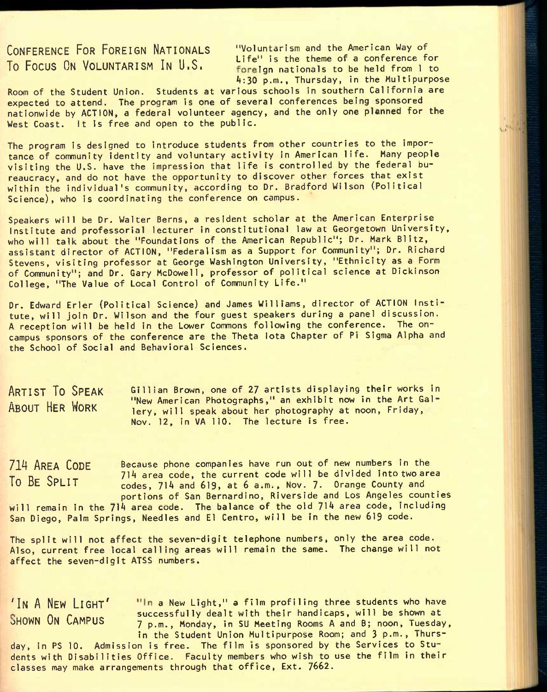To Focus ON VOLUNTARISM IN  $\mathsf{U.S.}$  Life" is the theme of a conference for

CONFERENCE FOR FOREIGN NATIONALS "Voluntarism and the American Way of foreign nationals to be held from 1 to 4:30 p.m., Thursday, in the Multipurpose

Room of the Student Union. Students at various schools in southern California are expected to attend. The program is one of several conferences being sponsored nationwide by ACTION, a federal volunteer agency, and the only one planned for the West Coast. It is free and open to the public.

The program is designed to introduce students from other countries to the importance of community identity and voluntary activity in American life. Many people visiting the U.S. have the impression that life is controlled by the federal bureaucracy, and do not have the opportunity to discover other forces that exist within the individual's community, according to Dr. Bradford Wilson (Political Science), who is coordinating the conference on campus.

Speakers will be Dr. Walter Berns, a resident scholar at the American Enterprise Institute and professorial lecturer in constitutional law at Georgetown University, who will talk about the "Foundations of the American Republic"; Dr. Mark Blitz, assistant director of ACTION, "Federalism as a Support for Community"; Dr. Richard Stevens, visiting professor at George Washington University, "Ethnicity as a Form of Community"; and Dr. Gary McDowell, professor of political science at Dickinson College, "The Value of Local Control of Community Life."

Dr. Edward Erler (Political Science) and James Williams, director of ACTION Institute, will join Dr. Wilson and the four guest speakers during a panel discussion. A reception will be held in the Lower Commons following the conference. The oncampus sponsors of the conference are the Theta lota Chapter of Pi Sigma Alpha and the School of Social and Behavioral Sciences.

ARTIST TO SPEAK Gillian Brown, one of 27 artists displaying their works in Wew American Photographs," an exhibit now in the Art Gal-<br>ABOUT HER WORK Large will speak about her abstormanty at noon Friday lery, will speak about her photography at noon, Friday, Nov. 12, in VA 110. The lecture is free.

Because phone companies have run out of new numbers in the 714 area code, the current code will be divided into two area codes, 714 and 619, at 6 a.m., Nov. 7- Orange County and portions of San Bernardino, Riverside and Los Angeles counties 714 AREA CODE To BE SPLIT

will remain in the 714 area code. The balance of the old 714 area code, including San Diego, Palm Springs, Needles and El Centro, will be in the new 619 code.

The split will not affect the seven-digit telephone numbers, only the area code. Also, current free local calling areas will remain the same. The change will not affect the seven-digit ATSS numbers.

'IN A NEW LIGHT' "In a New Light," a film profiling three students who have SHOWN ON CAMPUS successfully dealt with their handicaps, will be shown at 7 p.m., Monday, in SU Meeting Rooms A and B; noon, Tuesday, in the Student Union Multipurpose Room; and 3 p.m., Thurs-

day, in PS 10. Admission is free. The film is sponsored by the Services to Students with Disabilities Office. Faculty members who wish to use the film in their classes may make arrangements through that office, Ext. 7662.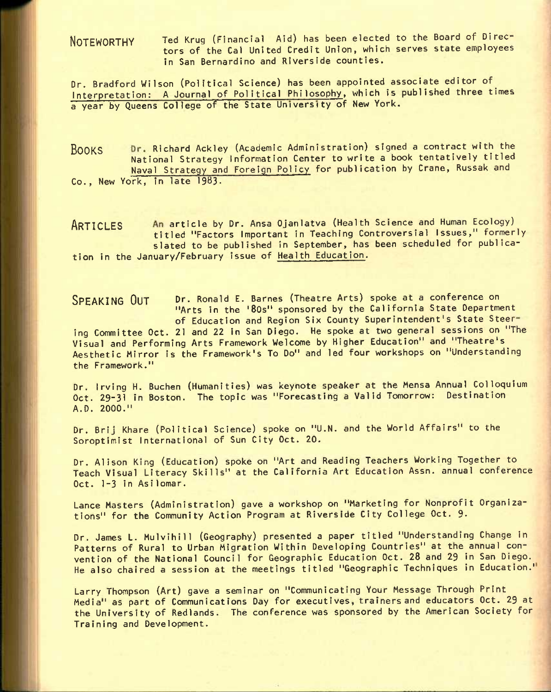NOTEWORTHY Ted Krug (Financial Aid) has been elected to the Board of Directors of the Cal United Credit Union, which serves state employees in San Bernardino and Riverside counties.

Dr. Bradford Wilson (Political Science) has been appointed associate editor of^ Interpretation: A Journal of Political Philosophy, which Is published three times a year by Queens College of the State University of New York.

BOOKS Dr. Richard Ackley (Academic Administration) signed a contract with the National Strategy Information Center to write a book tentatively titled Naval Strategy and Foreign Policy for publication by Crane, Russak and Co., New York, in late 1983.

ARTICLES An article by Dr. Ansa Ojanlatva (Health Science and Human Ecology) titled "Factors Important in Teaching Controversial Issues," formerly slated to be published in September, has been scheduled for publication in the January/February issue of Health Education.

SPEAKING OUT Dr. Ronald E. Barnes (Theatre Arts) spoke at a conference on "Arts in the '80s" sponsored by the California State Department of Education and Region Six County Superintendent's State Steering Committee Oct. 21 and 22 in San Diego. He spoke at two general sessions on "The Visual and Performing Arts Framework Welcome by Higher Education" and "Theatre's Aesthetic Mirror is the Framework's To Do" and led four workshops on "Understanding the Framework."

Dr. Irving H. Buchen (Humanities) was keynote speaker at the Mensa Annual Colloquium Oct. 29-31 in Boston. The topic was "Forecasting a Valid Tomorrow: Destination A.O. 2000."

Dr. Brij Khare (Political Science) spoke on "U.N, and the World Affairs" to the Soroptimist International of Sun City Oct. 20.

Dr. Alison King (Education) spoke on "Art and Reading Teachers Working Together to Teach Visual Literacy Skills" at the California Art Education Assn. annual conference Oct. 1-3 in Asilomar.

Lance Masters (Administration) gave a workshop on "Marketing for Nonprofit Organizations" for the Community Action Program at Riverside City College Oct. 9-

Dr. James L. Mulvihill (Geography) presented a paper titled "Understanding Change in Patterns of Rural to Urban Migration Within Developing Countries" at the annual convention of the National Council for Geographic Education Oct. 28 and 29 in San Diego. He also chaired a session at the meetings titled "Geographic Techniques in Education.'

Larry Thompson (Art) gave a seminar on "Communicating Your Message Through Print Media" as part of Communications Day for executives, trainers and educators Oct. 29 at the University of Redlands. The conference was sponsored by the American Society for Training and Development.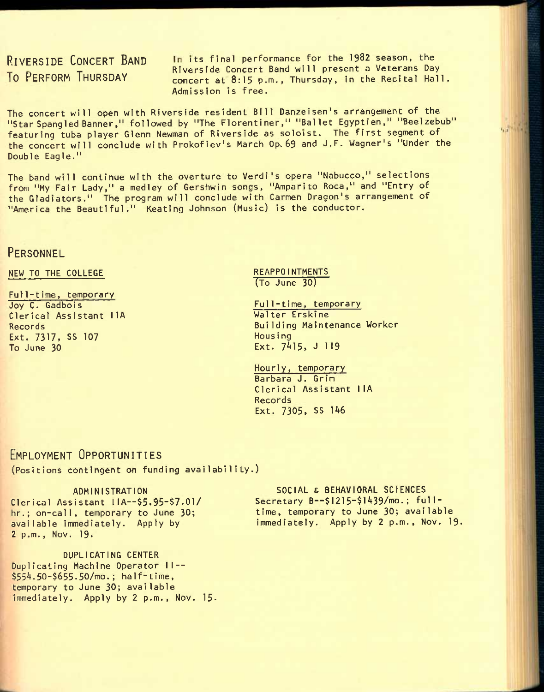RIVERSIDE CONCERT BAND In its final performance for the 1982 season, the The Concert Band will present a Veterans Day<br>To PERFORM THURSDAY access to the Recital Hall concert at 8:15 p.m., Thursday, in the Recital Hall. Admission Is free.

 $1.27 - 1.5$ 

The concert will open with Riverside resident Bill Danzeisen's arrangement of the "Star Spangled Banner," followed by "The Florentiner," "Ballet Egyptien," "Beelzebub" featuring tuba player Glenn Newman of Riverside as soloist. The first segment of the concert will conclude with Prokofiev's March Op. 69 and J.F. Wagner's "Under the Double Eagle."

The band will continue with the overture to Verdi's opera "Nabucco," selections from "My Fair Lady," a medley of Gershwin songs, "Amparito Roca," and "Entry of the Gladiators." The program will conclude with Carmen Dragon's arrangement of "America the Beautiful." Keating Johnson (Music) is the conductor.

## **PERSONNEL**

### NEW TO THE COLLEGE

Full-time, temporary Joy C. Gadbois Clerical Assistant IIA Records Ext. 7317, SS 107 To June 30

#### **REAPPOINTMENTS** (To June 30)

Full-time, temporary Walter Erskine Building Maintenance Worker Housing Ext. 7415, J 119

Hourly, temporary Barbara J. Grim Clerical Assistant IIA Records Ext. 7305, SS 146

## EMPLOYMENT OPPORTUNITIES

(Positions contingent on funding availability.)

#### ADMINISTRATION

Clerical Assistant IIA--\$5.95-\$7.01/ hr.; on-call, temporary to June 30; available immediately. Apply by 2 p.m., Nov. 19.

DUPLICATING CENTER Duplicating Machine Operator II--\$554.50-\$655.50/mo.; half-time, temporary to June 30; available immediately. Apply by  $2$   $p.m.,$  Nov. 15.

SOCIAL S BEHAVIORAL SCIENCES Secretary B--\$1215-\$1439/mo.; fulltime, temporary to June 30; available immediately. Apply by 2 p.m., Nov. 19.